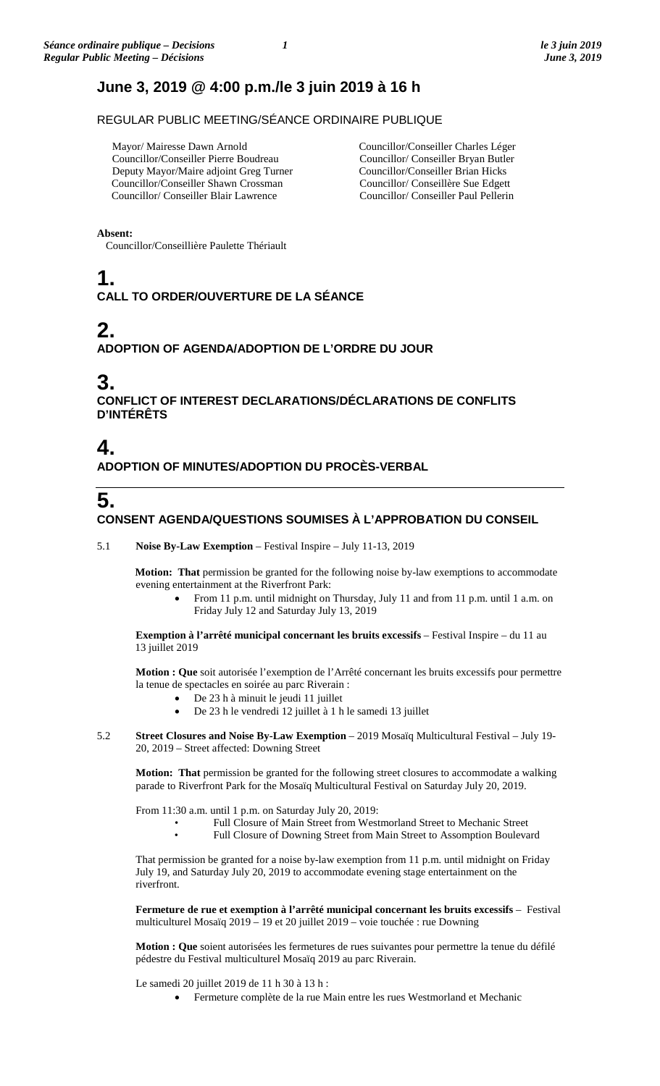## **June 3, 2019 @ 4:00 p.m./le 3 juin 2019 à 16 h**

REGULAR PUBLIC MEETING/SÉANCE ORDINAIRE PUBLIQUE

 Mayor/ Mairesse Dawn Arnold Councillor/Conseiller Pierre Boudreau Deputy Mayor/Maire adjoint Greg Turner Councillor/Conseiller Shawn Crossman Councillor/ Conseiller Blair Lawrence

Councillor/Conseiller Charles Léger Councillor/ Conseiller Bryan Butler Councillor/Conseiller Brian Hicks Councillor/ Conseillère Sue Edgett Councillor/ Conseiller Paul Pellerin

**Absent:**

Councillor/Conseillière Paulette Thériault

# **1.**

### **CALL TO ORDER/OUVERTURE DE LA SÉANCE**

# **2.**

### **ADOPTION OF AGENDA/ADOPTION DE L'ORDRE DU JOUR**

## **3.**

**CONFLICT OF INTEREST DECLARATIONS/DÉCLARATIONS DE CONFLITS D'INTÉRÊTS**

## **4.**

**ADOPTION OF MINUTES/ADOPTION DU PROCÈS-VERBAL**

# **5.**

### **CONSENT AGENDA/QUESTIONS SOUMISES À L'APPROBATION DU CONSEIL**

5.1 **Noise By-Law Exemption** – Festival Inspire – July 11-13, 2019

**Motion: That** permission be granted for the following noise by-law exemptions to accommodate evening entertainment at the Riverfront Park:

• From 11 p.m. until midnight on Thursday, July 11 and from 11 p.m. until 1 a.m. on Friday July 12 and Saturday July 13, 2019

**Exemption à l'arrêté municipal concernant les bruits excessifs** – Festival Inspire – du 11 au 13 juillet 2019

**Motion : Que** soit autorisée l'exemption de l'Arrêté concernant les bruits excessifs pour permettre la tenue de spectacles en soirée au parc Riverain :

- De 23 h à minuit le jeudi 11 juillet
- De 23 h le vendredi 12 juillet à 1 h le samedi 13 juillet
- 5.2 **Street Closures and Noise By-Law Exemption** 2019 Mosaïq Multicultural Festival July 19- 20, 2019 – Street affected: Downing Street

**Motion: That** permission be granted for the following street closures to accommodate a walking parade to Riverfront Park for the Mosaïq Multicultural Festival on Saturday July 20, 2019.

From 11:30 a.m. until 1 p.m. on Saturday July 20, 2019:

- Full Closure of Main Street from Westmorland Street to Mechanic Street
	- Full Closure of Downing Street from Main Street to Assomption Boulevard

That permission be granted for a noise by-law exemption from 11 p.m. until midnight on Friday July 19, and Saturday July 20, 2019 to accommodate evening stage entertainment on the riverfront.

**Fermeture de rue et exemption à l'arrêté municipal concernant les bruits excessifs** – Festival multiculturel Mosaïq 2019 – 19 et 20 juillet 2019 – voie touchée : rue Downing

**Motion : Que** soient autorisées les fermetures de rues suivantes pour permettre la tenue du défilé pédestre du Festival multiculturel Mosaïq 2019 au parc Riverain.

Le samedi 20 juillet 2019 de 11 h 30 à 13 h :

• Fermeture complète de la rue Main entre les rues Westmorland et Mechanic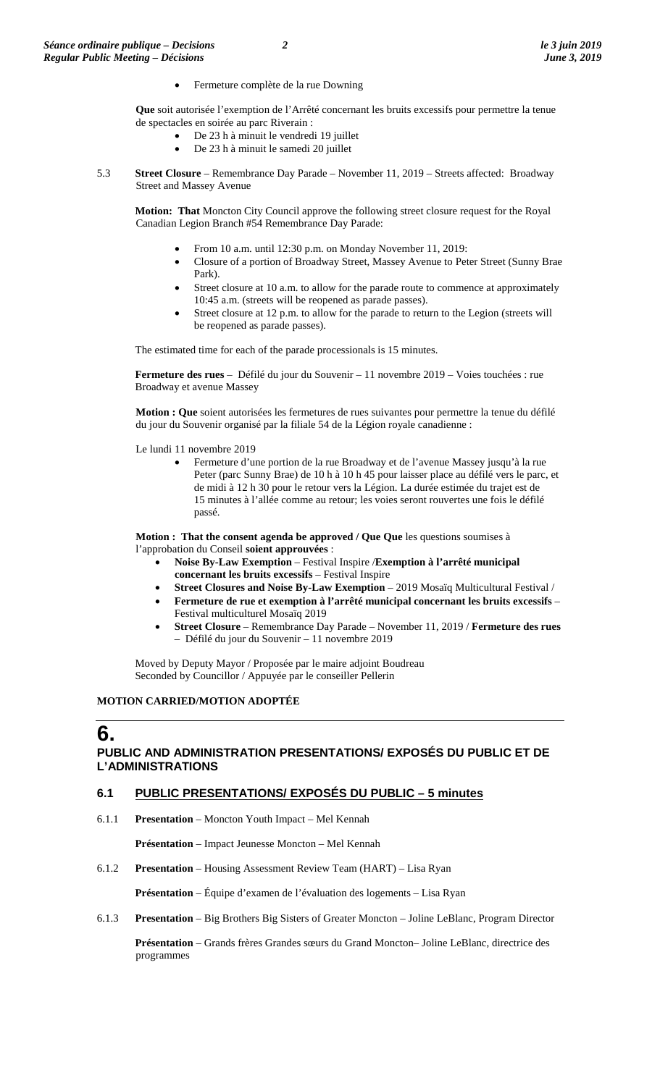• Fermeture complète de la rue Downing

**Que** soit autorisée l'exemption de l'Arrêté concernant les bruits excessifs pour permettre la tenue de spectacles en soirée au parc Riverain :

- De 23 h à minuit le vendredi 19 juillet
- De 23 h à minuit le samedi 20 juillet
- 5.3 **Street Closure**  Remembrance Day Parade November 11, 2019 Streets affected: Broadway Street and Massey Avenue

**Motion: That** Moncton City Council approve the following street closure request for the Royal Canadian Legion Branch #54 Remembrance Day Parade:

- From 10 a.m. until 12:30 p.m. on Monday November 11, 2019:
- Closure of a portion of Broadway Street, Massey Avenue to Peter Street (Sunny Brae Park).
- Street closure at 10 a.m. to allow for the parade route to commence at approximately 10:45 a.m. (streets will be reopened as parade passes).
- Street closure at 12 p.m. to allow for the parade to return to the Legion (streets will be reopened as parade passes).

The estimated time for each of the parade processionals is 15 minutes.

**Fermeture des rues** – Défilé du jour du Souvenir – 11 novembre 2019 – Voies touchées : rue Broadway et avenue Massey

**Motion : Que** soient autorisées les fermetures de rues suivantes pour permettre la tenue du défilé du jour du Souvenir organisé par la filiale 54 de la Légion royale canadienne :

Le lundi 11 novembre 2019

• Fermeture d'une portion de la rue Broadway et de l'avenue Massey jusqu'à la rue Peter (parc Sunny Brae) de 10 h à 10 h 45 pour laisser place au défilé vers le parc, et de midi à 12 h 30 pour le retour vers la Légion. La durée estimée du trajet est de 15 minutes à l'allée comme au retour; les voies seront rouvertes une fois le défilé passé.

**Motion : That the consent agenda be approved / Que Que** les questions soumises à l'approbation du Conseil **soient approuvées** :

- **Noise By-Law Exemption**  Festival Inspire /**Exemption à l'arrêté municipal concernant les bruits excessifs** – Festival Inspire
- **Street Closures and Noise By-Law Exemption** 2019 Mosaïq Multicultural Festival /
- **Fermeture de rue et exemption à l'arrêté municipal concernant les bruits excessifs**  Festival multiculturel Mosaïq 2019
- **Street Closure**  Remembrance Day Parade November 11, 2019 / **Fermeture des rues** – Défilé du jour du Souvenir – 11 novembre 2019

Moved by Deputy Mayor / Proposée par le maire adjoint Boudreau Seconded by Councillor / Appuyée par le conseiller Pellerin

### **MOTION CARRIED/MOTION ADOPTÉE**

### **6. PUBLIC AND ADMINISTRATION PRESENTATIONS/ EXPOSÉS DU PUBLIC ET DE L'ADMINISTRATIONS**

### **6.1 PUBLIC PRESENTATIONS/ EXPOSÉS DU PUBLIC – 5 minutes**

6.1.1 **Presentation** – Moncton Youth Impact – Mel Kennah

**Présentation** – Impact Jeunesse Moncton – Mel Kennah

6.1.2 **Presentation** – Housing Assessment Review Team (HART) – Lisa Ryan

**Présentation** – Équipe d'examen de l'évaluation des logements – Lisa Ryan

6.1.3 **Presentation** – Big Brothers Big Sisters of Greater Moncton – Joline LeBlanc, Program Director

**Présentation** – Grands frères Grandes sœurs du Grand Moncton– Joline LeBlanc, directrice des programmes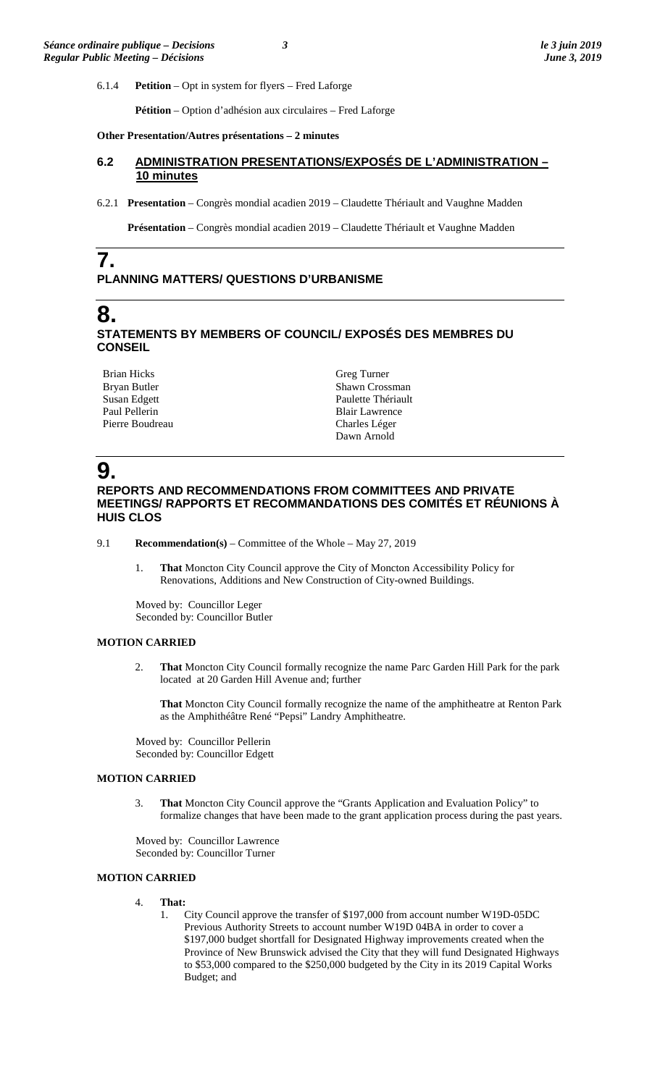6.1.4 **Petition** – Opt in system for flyers – Fred Laforge

**Pétition** – Option d'adhésion aux circulaires – Fred Laforge

#### **Other Presentation/Autres présentations – 2 minutes**

### **6.2 ADMINISTRATION PRESENTATIONS/EXPOSÉS DE L'ADMINISTRATION – 10 minutes**

6.2.1 **Presentation** – Congrès mondial acadien 2019 – Claudette Thériault and Vaughne Madden

**Présentation** – Congrès mondial acadien 2019 – Claudette Thériault et Vaughne Madden

## **PLANNING MATTERS/ QUESTIONS D'URBANISME**

## **8.**

**7.**

### **STATEMENTS BY MEMBERS OF COUNCIL/ EXPOSÉS DES MEMBRES DU CONSEIL**

Brian Hicks Bryan Butler Susan Edgett Paul Pellerin Pierre Boudreau

Greg Turner Shawn Crossman Paulette Thériault Blair Lawrence Charles Léger Dawn Arnold

# **9.**

### **REPORTS AND RECOMMENDATIONS FROM COMMITTEES AND PRIVATE MEETINGS/ RAPPORTS ET RECOMMANDATIONS DES COMITÉS ET RÉUNIONS À HUIS CLOS**

- 9.1 **Recommendation(s)** Committee of the Whole May 27, 2019
	- 1. **That** Moncton City Council approve the City of Moncton Accessibility Policy for Renovations, Additions and New Construction of City-owned Buildings.

Moved by: Councillor Leger Seconded by: Councillor Butler

### **MOTION CARRIED**

2. **That** Moncton City Council formally recognize the name Parc Garden Hill Park for the park located at 20 Garden Hill Avenue and; further

**That** Moncton City Council formally recognize the name of the amphitheatre at Renton Park as the Amphithéâtre René "Pepsi" Landry Amphitheatre.

Moved by: Councillor Pellerin Seconded by: Councillor Edgett

### **MOTION CARRIED**

3. **That** Moncton City Council approve the "Grants Application and Evaluation Policy" to formalize changes that have been made to the grant application process during the past years.

Moved by: Councillor Lawrence Seconded by: Councillor Turner

### **MOTION CARRIED**

- 4. **That:**
	- 1. City Council approve the transfer of \$197,000 from account number W19D-05DC Previous Authority Streets to account number W19D 04BA in order to cover a \$197,000 budget shortfall for Designated Highway improvements created when the Province of New Brunswick advised the City that they will fund Designated Highways to \$53,000 compared to the \$250,000 budgeted by the City in its 2019 Capital Works Budget; and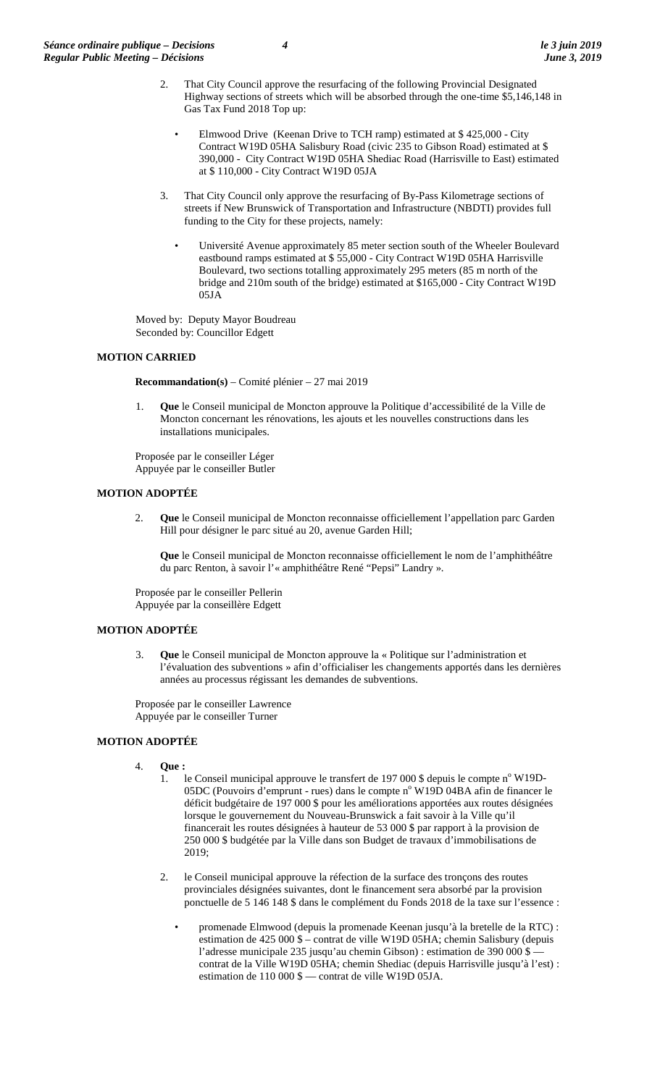- 2. That City Council approve the resurfacing of the following Provincial Designated Highway sections of streets which will be absorbed through the one-time \$5,146,148 in Gas Tax Fund 2018 Top up:
	- Elmwood Drive (Keenan Drive to TCH ramp) estimated at \$ 425,000 City Contract W19D 05HA Salisbury Road (civic 235 to Gibson Road) estimated at \$ 390,000 - City Contract W19D 05HA Shediac Road (Harrisville to East) estimated at \$ 110,000 - City Contract W19D 05JA
- 3. That City Council only approve the resurfacing of By-Pass Kilometrage sections of streets if New Brunswick of Transportation and Infrastructure (NBDTI) provides full funding to the City for these projects, namely:
	- Université Avenue approximately 85 meter section south of the Wheeler Boulevard eastbound ramps estimated at \$ 55,000 - City Contract W19D 05HA Harrisville Boulevard, two sections totalling approximately 295 meters (85 m north of the bridge and 210m south of the bridge) estimated at \$165,000 - City Contract W19D 05JA

Moved by: Deputy Mayor Boudreau Seconded by: Councillor Edgett

### **MOTION CARRIED**

**Recommandation(s)** – Comité plénier – 27 mai 2019

1. **Que** le Conseil municipal de Moncton approuve la Politique d'accessibilité de la Ville de Moncton concernant les rénovations, les ajouts et les nouvelles constructions dans les installations municipales.

Proposée par le conseiller Léger Appuyée par le conseiller Butler

### **MOTION ADOPTÉE**

2. **Que** le Conseil municipal de Moncton reconnaisse officiellement l'appellation parc Garden Hill pour désigner le parc situé au 20, avenue Garden Hill;

**Que** le Conseil municipal de Moncton reconnaisse officiellement le nom de l'amphithéâtre du parc Renton, à savoir l'« amphithéâtre René "Pepsi" Landry ».

Proposée par le conseiller Pellerin Appuyée par la conseillère Edgett

### **MOTION ADOPTÉE**

3. **Que** le Conseil municipal de Moncton approuve la « Politique sur l'administration et l'évaluation des subventions » afin d'officialiser les changements apportés dans les dernières années au processus régissant les demandes de subventions.

Proposée par le conseiller Lawrence Appuyée par le conseiller Turner

### **MOTION ADOPTÉE**

- 4. **Que :**
	- 1. le Conseil municipal approuve le transfert de 197 000 \$ depuis le compte  $n^{\circ}$  W19D-05DC (Pouvoirs d'emprunt - rues) dans le compte n° W19D 04BA afin de financer le déficit budgétaire de 197 000 \$ pour les améliorations apportées aux routes désignées lorsque le gouvernement du Nouveau-Brunswick a fait savoir à la Ville qu'il financerait les routes désignées à hauteur de 53 000 \$ par rapport à la provision de 250 000 \$ budgétée par la Ville dans son Budget de travaux d'immobilisations de 2019;
	- 2. le Conseil municipal approuve la réfection de la surface des tronçons des routes provinciales désignées suivantes, dont le financement sera absorbé par la provision ponctuelle de 5 146 148 \$ dans le complément du Fonds 2018 de la taxe sur l'essence :
		- promenade Elmwood (depuis la promenade Keenan jusqu'à la bretelle de la RTC) : estimation de 425 000 \$ – contrat de ville W19D 05HA; chemin Salisbury (depuis l'adresse municipale 235 jusqu'au chemin Gibson) : estimation de 390 000 \$ contrat de la Ville W19D 05HA; chemin Shediac (depuis Harrisville jusqu'à l'est) : estimation de 110 000 \$ — contrat de ville W19D 05JA.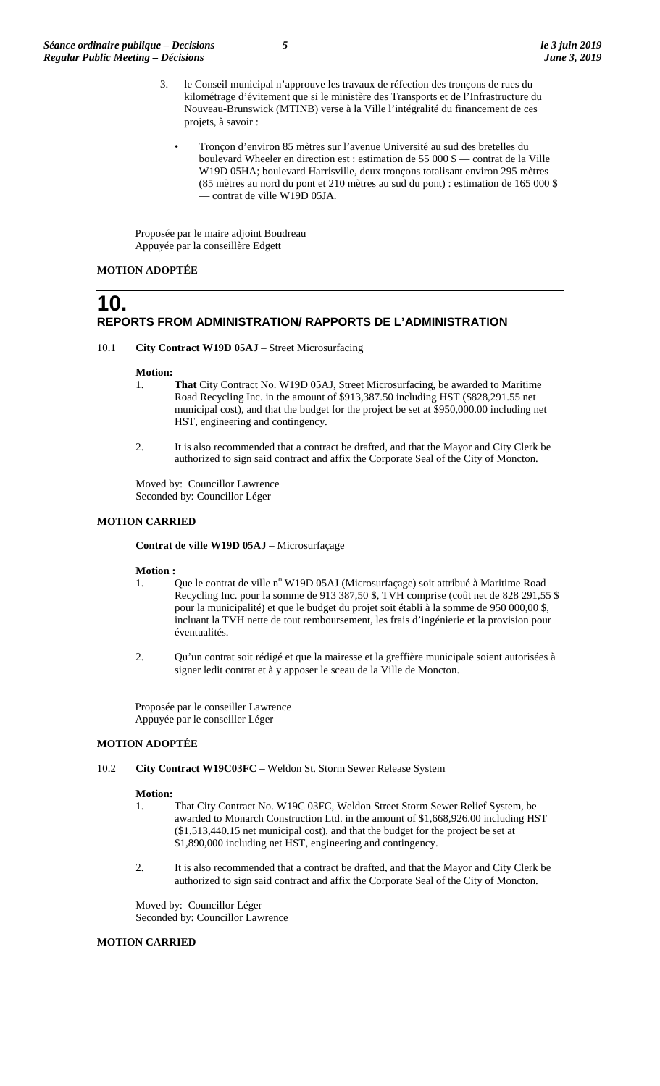- 3. le Conseil municipal n'approuve les travaux de réfection des tronçons de rues du kilométrage d'évitement que si le ministère des Transports et de l'Infrastructure du Nouveau-Brunswick (MTINB) verse à la Ville l'intégralité du financement de ces projets, à savoir :
	- Tronçon d'environ 85 mètres sur l'avenue Université au sud des bretelles du boulevard Wheeler en direction est : estimation de 55 000 \$ — contrat de la Ville W19D 05HA; boulevard Harrisville, deux tronçons totalisant environ 295 mètres (85 mètres au nord du pont et 210 mètres au sud du pont) : estimation de 165 000 \$ — contrat de ville W19D 05JA.

Proposée par le maire adjoint Boudreau Appuyée par la conseillère Edgett

### **MOTION ADOPTÉE**

### **10. REPORTS FROM ADMINISTRATION/ RAPPORTS DE L'ADMINISTRATION**

10.1 **City Contract W19D 05AJ** – Street Microsurfacing

#### **Motion:**

- 1. **That** City Contract No. W19D 05AJ, Street Microsurfacing, be awarded to Maritime Road Recycling Inc. in the amount of \$913,387.50 including HST (\$828,291.55 net municipal cost), and that the budget for the project be set at \$950,000.00 including net HST, engineering and contingency.
- 2. It is also recommended that a contract be drafted, and that the Mayor and City Clerk be authorized to sign said contract and affix the Corporate Seal of the City of Moncton.

Moved by: Councillor Lawrence Seconded by: Councillor Léger

### **MOTION CARRIED**

**Contrat de ville W19D 05AJ** – Microsurfaçage

# **Motion :**<br>1.

- Que le contrat de ville n° W19D 05AJ (Microsurfaçage) soit attribué à Maritime Road Recycling Inc. pour la somme de 913 387,50 \$, TVH comprise (coût net de 828 291,55 \$ pour la municipalité) et que le budget du projet soit établi à la somme de 950 000,00 \$, incluant la TVH nette de tout remboursement, les frais d'ingénierie et la provision pour éventualités.
- 2. Qu'un contrat soit rédigé et que la mairesse et la greffière municipale soient autorisées à signer ledit contrat et à y apposer le sceau de la Ville de Moncton.

Proposée par le conseiller Lawrence Appuyée par le conseiller Léger

### **MOTION ADOPTÉE**

10.2 **City Contract W19C03FC** – Weldon St. Storm Sewer Release System

#### **Motion:**

- 1. That City Contract No. W19C 03FC, Weldon Street Storm Sewer Relief System, be awarded to Monarch Construction Ltd. in the amount of \$1,668,926.00 including HST (\$1,513,440.15 net municipal cost), and that the budget for the project be set at \$1,890,000 including net HST, engineering and contingency.
- 2. It is also recommended that a contract be drafted, and that the Mayor and City Clerk be authorized to sign said contract and affix the Corporate Seal of the City of Moncton.

Moved by: Councillor Léger Seconded by: Councillor Lawrence

#### **MOTION CARRIED**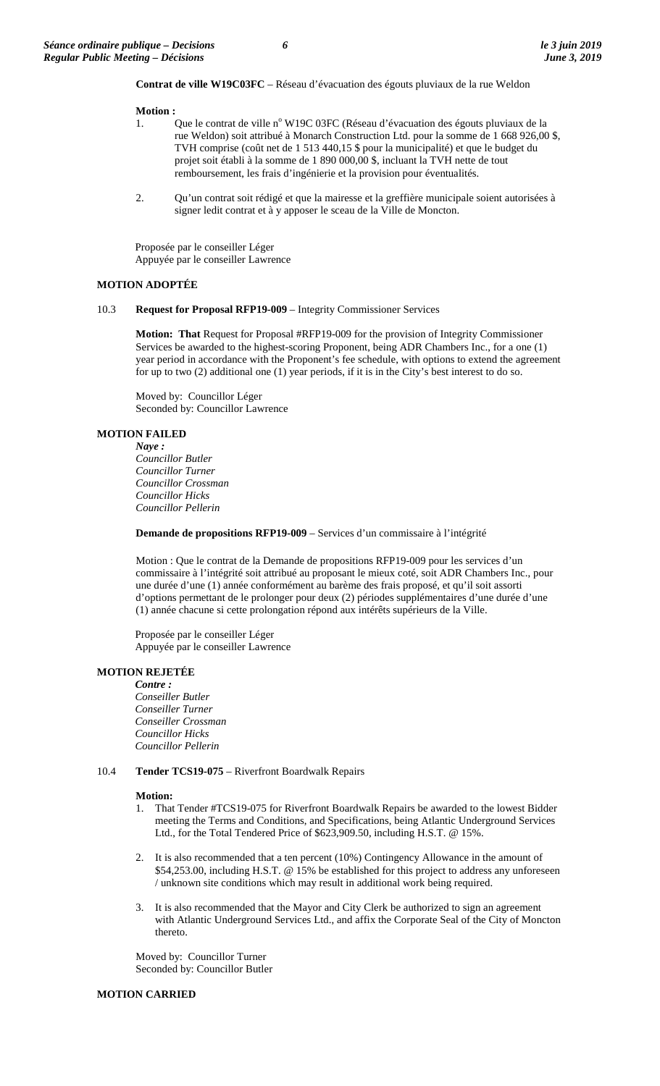**Contrat de ville W19C03FC** – Réseau d'évacuation des égouts pluviaux de la rue Weldon

#### **Motion :**

- 1. Que le contrat de ville n° W19C 03FC (Réseau d'évacuation des égouts pluviaux de la rue Weldon) soit attribué à Monarch Construction Ltd. pour la somme de 1 668 926,00 \$, TVH comprise (coût net de 1 513 440,15 \$ pour la municipalité) et que le budget du projet soit établi à la somme de 1 890 000,00 \$, incluant la TVH nette de tout remboursement, les frais d'ingénierie et la provision pour éventualités.
- 2. Qu'un contrat soit rédigé et que la mairesse et la greffière municipale soient autorisées à signer ledit contrat et à y apposer le sceau de la Ville de Moncton.

Proposée par le conseiller Léger Appuyée par le conseiller Lawrence

#### **MOTION ADOPTÉE**

#### 10.3 **Request for Proposal RFP19-009** – Integrity Commissioner Services

**Motion: That** Request for Proposal #RFP19-009 for the provision of Integrity Commissioner Services be awarded to the highest-scoring Proponent, being ADR Chambers Inc., for a one (1) year period in accordance with the Proponent's fee schedule, with options to extend the agreement for up to two (2) additional one (1) year periods, if it is in the City's best interest to do so.

Moved by: Councillor Léger Seconded by: Councillor Lawrence

### **MOTION FAILED**

*Naye : Councillor Butler Councillor Turner Councillor Crossman Councillor Hicks Councillor Pellerin*

**Demande de propositions RFP19-009** – Services d'un commissaire à l'intégrité

Motion : Que le contrat de la Demande de propositions RFP19-009 pour les services d'un commissaire à l'intégrité soit attribué au proposant le mieux coté, soit ADR Chambers Inc., pour une durée d'une (1) année conformément au barème des frais proposé, et qu'il soit assorti d'options permettant de le prolonger pour deux (2) périodes supplémentaires d'une durée d'une (1) année chacune si cette prolongation répond aux intérêts supérieurs de la Ville.

Proposée par le conseiller Léger Appuyée par le conseiller Lawrence

#### **MOTION REJETÉE**

*Contre : Conseiller Butler Conseiller Turner Conseiller Crossman Councillor Hicks Councillor Pellerin*

#### 10.4 **Tender TCS19-075** – Riverfront Boardwalk Repairs

#### **Motion:**

- 1. That Tender #TCS19-075 for Riverfront Boardwalk Repairs be awarded to the lowest Bidder meeting the Terms and Conditions, and Specifications, being Atlantic Underground Services Ltd., for the Total Tendered Price of \$623,909.50, including H.S.T. @ 15%.
- 2. It is also recommended that a ten percent (10%) Contingency Allowance in the amount of \$54,253.00, including H.S.T. @ 15% be established for this project to address any unforeseen / unknown site conditions which may result in additional work being required.
- It is also recommended that the Mayor and City Clerk be authorized to sign an agreement with Atlantic Underground Services Ltd., and affix the Corporate Seal of the City of Moncton thereto.

Moved by: Councillor Turner Seconded by: Councillor Butler

#### **MOTION CARRIED**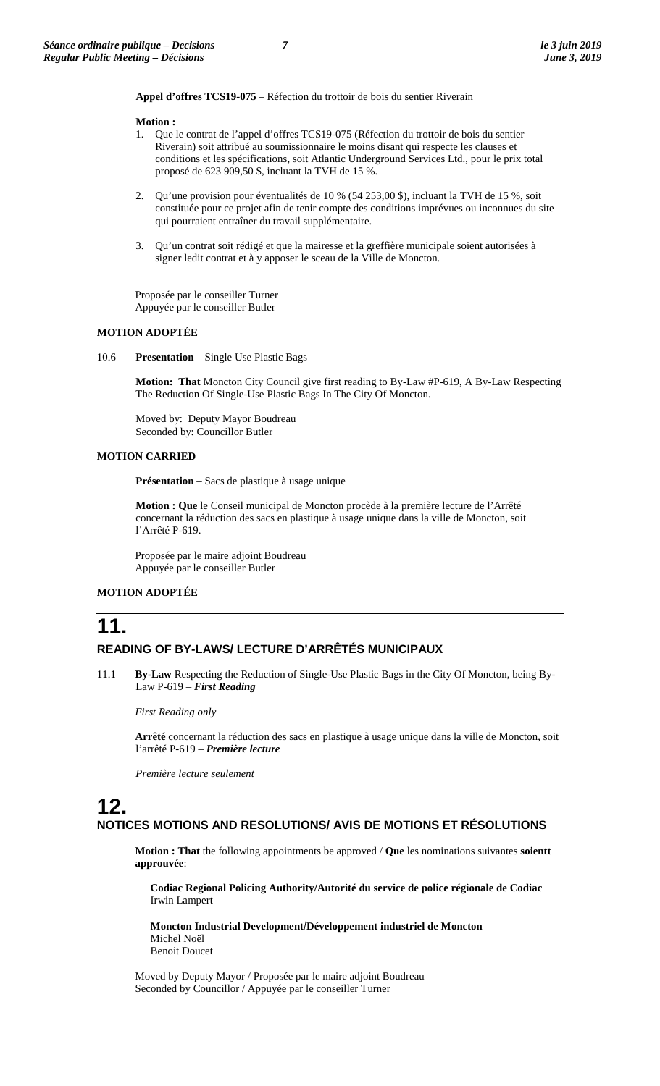**Appel d'offres TCS19-075** – Réfection du trottoir de bois du sentier Riverain

#### **Motion :**

- 1. Que le contrat de l'appel d'offres TCS19-075 (Réfection du trottoir de bois du sentier Riverain) soit attribué au soumissionnaire le moins disant qui respecte les clauses et conditions et les spécifications, soit Atlantic Underground Services Ltd., pour le prix total proposé de 623 909,50 \$, incluant la TVH de 15 %.
- 2. Qu'une provision pour éventualités de 10 % (54 253,00 \$), incluant la TVH de 15 %, soit constituée pour ce projet afin de tenir compte des conditions imprévues ou inconnues du site qui pourraient entraîner du travail supplémentaire.
- 3. Qu'un contrat soit rédigé et que la mairesse et la greffière municipale soient autorisées à signer ledit contrat et à y apposer le sceau de la Ville de Moncton.

Proposée par le conseiller Turner Appuyée par le conseiller Butler

### **MOTION ADOPTÉE**

10.6 **Presentation** – Single Use Plastic Bags

**Motion: That** Moncton City Council give first reading to By-Law #P-619, A By-Law Respecting The Reduction Of Single-Use Plastic Bags In The City Of Moncton.

Moved by: Deputy Mayor Boudreau Seconded by: Councillor Butler

### **MOTION CARRIED**

**Présentation** – Sacs de plastique à usage unique

**Motion : Que** le Conseil municipal de Moncton procède à la première lecture de l'Arrêté concernant la réduction des sacs en plastique à usage unique dans la ville de Moncton, soit l'Arrêté P-619.

Proposée par le maire adjoint Boudreau Appuyée par le conseiller Butler

### **MOTION ADOPTÉE**

## **11. READING OF BY-LAWS/ LECTURE D'ARRÊTÉS MUNICIPAUX**

11.1 **By-Law** Respecting the Reduction of Single-Use Plastic Bags in the City Of Moncton, being By-Law P-619 – *First Reading*

*First Reading only*

**Arrêté** concernant la réduction des sacs en plastique à usage unique dans la ville de Moncton, soit l'arrêté P-619 – *Première lecture*

*Première lecture seulement*

### **12. NOTICES MOTIONS AND RESOLUTIONS/ AVIS DE MOTIONS ET RÉSOLUTIONS**

**Motion : That** the following appointments be approved / **Que** les nominations suivantes **soientt approuvée**:

**Codiac Regional Policing Authority/Autorité du service de police régionale de Codiac** Irwin Lampert

**Moncton Industrial Development**/**Développement industriel de Moncton** Michel Noël Benoit Doucet

Moved by Deputy Mayor / Proposée par le maire adjoint Boudreau Seconded by Councillor / Appuyée par le conseiller Turner